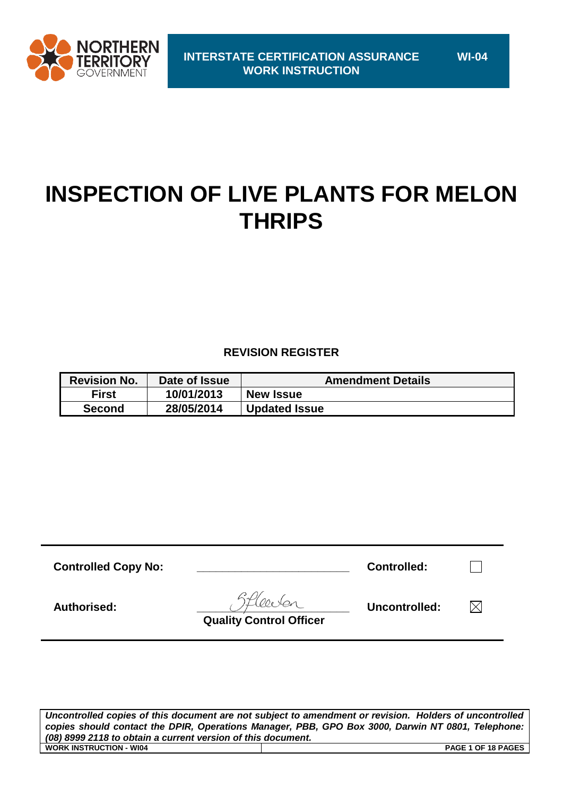

# **INSPECTION OF LIVE PLANTS FOR MELON THRIPS**

## **REVISION REGISTER**

| <b>Revision No.</b> | Date of Issue | <b>Amendment Details</b> |
|---------------------|---------------|--------------------------|
| <b>First</b>        | 10/01/2013    | <b>New Issue</b>         |
| <b>Second</b>       | 28/05/2014    | <b>Updated Issue</b>     |

| <b>Controlled Copy No:</b> |                                | <b>Controlled:</b> |  |
|----------------------------|--------------------------------|--------------------|--|
| Authorised:                | <b>Quality Control Officer</b> | Uncontrolled:      |  |

*Uncontrolled copies of this document are not subject to amendment or revision. Holders of uncontrolled copies should contact the DPIR, Operations Manager, PBB, GPO Box 3000, Darwin NT 0801, Telephone: (08) 8999 2118 to obtain a current version of this document.* **WORK INSTRUCTION - WI04 PAGE 1 OF 18 PAGES**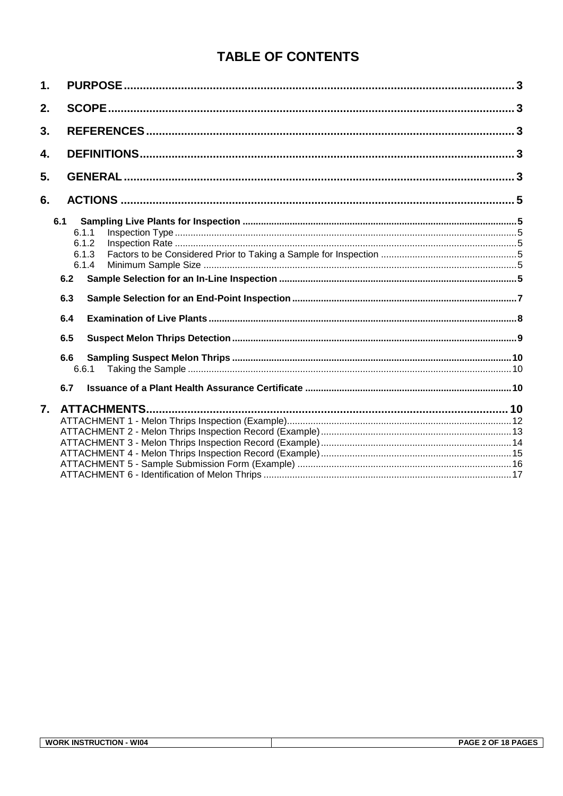# **TABLE OF CONTENTS**

| 1. |                    |  |
|----|--------------------|--|
| 2. |                    |  |
| 3. |                    |  |
| 4. |                    |  |
| 5. |                    |  |
| 6. |                    |  |
|    | 6.1                |  |
|    | 6.1.1              |  |
|    | 6.1.2              |  |
|    | 6.1.3<br>6.1.4     |  |
|    |                    |  |
|    | 6.2                |  |
|    | 6.3                |  |
|    | 6.4                |  |
|    | 6.5                |  |
|    | 6.6                |  |
|    | 6.6.1              |  |
|    | 6.7                |  |
| 7. | <b>ATTACHMENTS</b> |  |
|    |                    |  |
|    |                    |  |
|    |                    |  |
|    |                    |  |
|    |                    |  |
|    |                    |  |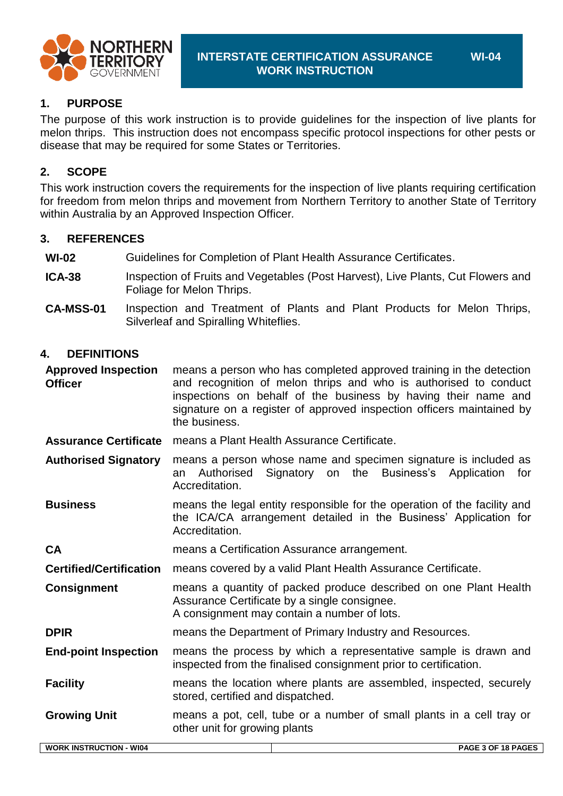

## **1. PURPOSE**

The purpose of this work instruction is to provide guidelines for the inspection of live plants for melon thrips. This instruction does not encompass specific protocol inspections for other pests or disease that may be required for some States or Territories.

## **2. SCOPE**

This work instruction covers the requirements for the inspection of live plants requiring certification for freedom from melon thrips and movement from Northern Territory to another State of Territory within Australia by an Approved Inspection Officer*.*

#### **3. REFERENCES**

**WI-02** Guidelines for Completion of Plant Health Assurance Certificates.

- **ICA-38** Inspection of Fruits and Vegetables (Post Harvest), Live Plants, Cut Flowers and Foliage for Melon Thrips.
- **CA-MSS-01** Inspection and Treatment of Plants and Plant Products for Melon Thrips, Silverleaf and Spiralling Whiteflies.

#### **4. DEFINITIONS**

**Approved Inspection Officer** means a person who has completed approved training in the detection and recognition of melon thrips and who is authorised to conduct inspections on behalf of the business by having their name and signature on a register of approved inspection officers maintained by the business.

- **Assurance Certificate** means a Plant Health Assurance Certificate.
- **Authorised Signatory** means a person whose name and specimen signature is included as an Authorised Signatory on the Business's Application for Accreditation.

**Business** means the legal entity responsible for the operation of the facility and the ICA/CA arrangement detailed in the Business' Application for Accreditation.

**CA** means a Certification Assurance arrangement.

**Certified/Certification** means covered by a valid Plant Health Assurance Certificate.

**Consignment** means a quantity of packed produce described on one Plant Health Assurance Certificate by a single consignee. A consignment may contain a number of lots.

**DPIR** means the Department of Primary Industry and Resources.

**End-point Inspection** means the process by which a representative sample is drawn and inspected from the finalised consignment prior to certification.

**Facility** means the location where plants are assembled, inspected, securely stored, certified and dispatched.

**Growing Unit** means a pot, cell, tube or a number of small plants in a cell tray or other unit for growing plants

| <b>WI04</b><br><b>TRUCTION</b> د<br>. INST'<br><b>WORK</b> | PAGE 3 OF 18 PAGES |
|------------------------------------------------------------|--------------------|
|                                                            |                    |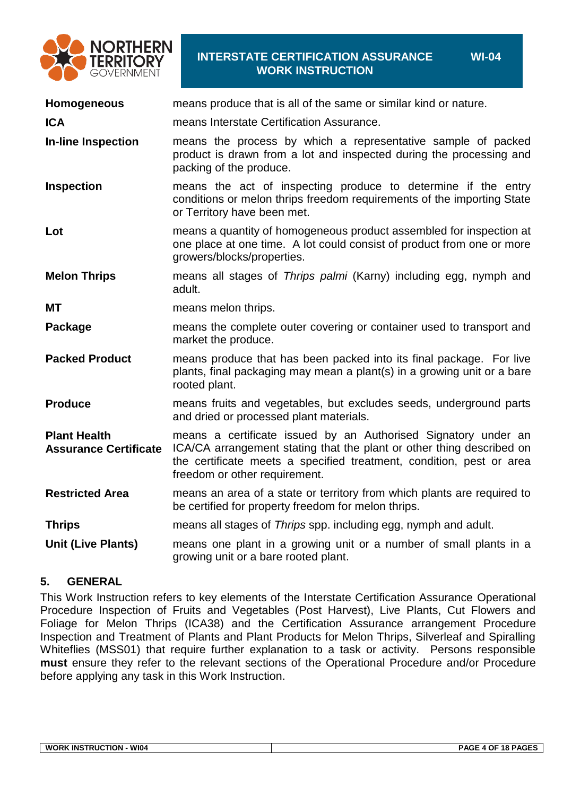

#### **INTERSTATE CERTIFICATION ASSURANCE WORK INSTRUCTION**

**Homogeneous** means produce that is all of the same or similar kind or nature. **ICA means Interstate Certification Assurance.** 

**WI-04**

- **In-line Inspection** means the process by which a representative sample of packed product is drawn from a lot and inspected during the processing and packing of the produce.
- **Inspection** means the act of inspecting produce to determine if the entry conditions or melon thrips freedom requirements of the importing State or Territory have been met.
- **Lot** means a quantity of homogeneous product assembled for inspection at one place at one time. A lot could consist of product from one or more growers/blocks/properties.

**Melon Thrips** means all stages of *Thrips palmi* (Karny) including egg, nymph and adult.

**MT** means melon thrips.

**Package** means the complete outer covering or container used to transport and market the produce.

- **Packed Product** means produce that has been packed into its final package. For live plants, final packaging may mean a plant(s) in a growing unit or a bare rooted plant.
- **Produce** means fruits and vegetables, but excludes seeds, underground parts and dried or processed plant materials.

**Plant Health Assurance Certificate** means a certificate issued by an Authorised Signatory under an ICA/CA arrangement stating that the plant or other thing described on the certificate meets a specified treatment, condition, pest or area freedom or other requirement.

- **Restricted Area** means an area of a state or territory from which plants are required to be certified for property freedom for melon thrips.
- **Thrips** means all stages of *Thrips* spp. including egg, nymph and adult.

**Unit (Live Plants)** means one plant in a growing unit or a number of small plants in a growing unit or a bare rooted plant.

## **5. GENERAL**

This Work Instruction refers to key elements of the Interstate Certification Assurance Operational Procedure Inspection of Fruits and Vegetables (Post Harvest), Live Plants, Cut Flowers and Foliage for Melon Thrips (ICA38) and the Certification Assurance arrangement Procedure Inspection and Treatment of Plants and Plant Products for Melon Thrips, Silverleaf and Spiralling Whiteflies (MSS01) that require further explanation to a task or activity. Persons responsible **must** ensure they refer to the relevant sections of the Operational Procedure and/or Procedure before applying any task in this Work Instruction.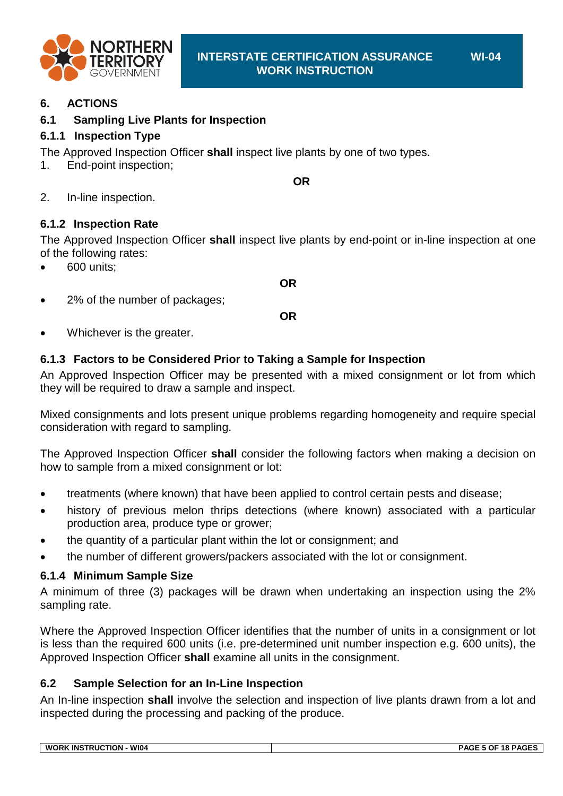

### **6. ACTIONS**

#### **6.1 Sampling Live Plants for Inspection**

#### <span id="page-4-1"></span>**6.1.1 Inspection Type**

The Approved Inspection Officer **shall** inspect live plants by one of two types.

1. End-point inspection;

**OR**

2. In-line inspection.

#### <span id="page-4-0"></span>**6.1.2 Inspection Rate**

The Approved Inspection Officer **shall** inspect live plants by end-point or in-line inspection at one of the following rates:

- 600 units;
- 2% of the number of packages;

**OR**

**OR**

Whichever is the greater.

#### **6.1.3 Factors to be Considered Prior to Taking a Sample for Inspection**

An Approved Inspection Officer may be presented with a mixed consignment or lot from which they will be required to draw a sample and inspect.

Mixed consignments and lots present unique problems regarding homogeneity and require special consideration with regard to sampling.

The Approved Inspection Officer **shall** consider the following factors when making a decision on how to sample from a mixed consignment or lot:

- treatments (where known) that have been applied to control certain pests and disease;
- history of previous melon thrips detections (where known) associated with a particular production area, produce type or grower;
- the quantity of a particular plant within the lot or consignment; and
- the number of different growers/packers associated with the lot or consignment.

#### **6.1.4 Minimum Sample Size**

A minimum of three (3) packages will be drawn when undertaking an inspection using the 2% sampling rate.

Where the Approved Inspection Officer identifies that the number of units in a consignment or lot is less than the required 600 units (i.e. pre-determined unit number inspection e.g. 600 units), the Approved Inspection Officer **shall** examine all units in the consignment.

#### **6.2 Sample Selection for an In-Line Inspection**

An In-line inspection **shall** involve the selection and inspection of live plants drawn from a lot and inspected during the processing and packing of the produce.

| W104<br><b>WORK</b><br>INS<br>TRUC<br>אר<br>πк | .<br>. ог<br>40 D<br>→∧ι<br>ıΩ |
|------------------------------------------------|--------------------------------|
|                                                |                                |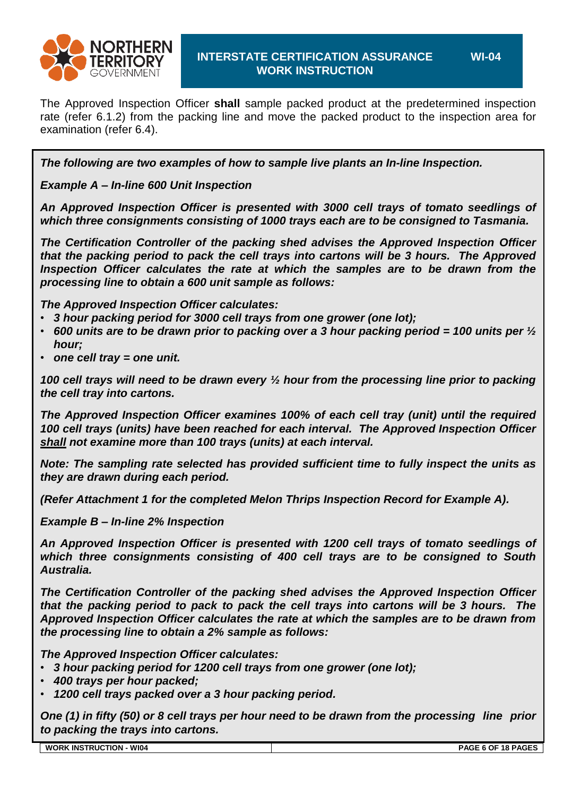

The Approved Inspection Officer **shall** sample packed product at the predetermined inspection rate [\(refer 6.1.2\)](#page-4-0) from the packing line and move the packed product to the inspection area for examination [\(refer 6.4\)](#page-7-0).

*The following are two examples of how to sample live plants an In-line Inspection.*

*Example A – In-line 600 Unit Inspection*

*An Approved Inspection Officer is presented with 3000 cell trays of tomato seedlings of which three consignments consisting of 1000 trays each are to be consigned to Tasmania.*

*The Certification Controller of the packing shed advises the Approved Inspection Officer that the packing period to pack the cell trays into cartons will be 3 hours. The Approved Inspection Officer calculates the rate at which the samples are to be drawn from the processing line to obtain a 600 unit sample as follows:*

*The Approved Inspection Officer calculates:*

- *3 hour packing period for 3000 cell trays from one grower (one lot);*
- *600 units are to be drawn prior to packing over a 3 hour packing period = 100 units per ½ hour;*
- *one cell tray = one unit.*

*100 cell trays will need to be drawn every ½ hour from the processing line prior to packing the cell tray into cartons.*

*The Approved Inspection Officer examines 100% of each cell tray (unit) until the required 100 cell trays (units) have been reached for each interval. The Approved Inspection Officer shall not examine more than 100 trays (units) at each interval.*

*Note: The sampling rate selected has provided sufficient time to fully inspect the units as they are drawn during each period.*

*(Refer Attachment 1 for the completed Melon Thrips Inspection Record for Example A).*

*Example B – In-line 2% Inspection*

*An Approved Inspection Officer is presented with 1200 cell trays of tomato seedlings of which three consignments consisting of 400 cell trays are to be consigned to South Australia.*

*The Certification Controller of the packing shed advises the Approved Inspection Officer that the packing period to pack to pack the cell trays into cartons will be 3 hours. The Approved Inspection Officer calculates the rate at which the samples are to be drawn from the processing line to obtain a 2% sample as follows:*

*The Approved Inspection Officer calculates:*

- *3 hour packing period for 1200 cell trays from one grower (one lot);*
- *400 trays per hour packed;*
- *1200 cell trays packed over a 3 hour packing period.*

*One (1) in fifty (50) or 8 cell trays per hour need to be drawn from the processing line prior to packing the trays into cartons.*

| <b>WORK INSTRUCTION</b><br><b>WI04</b> | PAGE 6 OF 18 PAGES |
|----------------------------------------|--------------------|
|                                        |                    |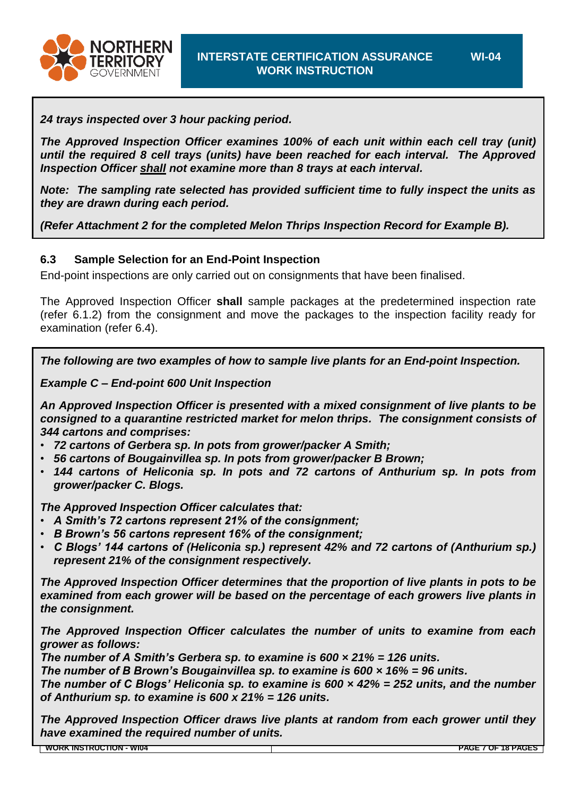

*24 trays inspected over 3 hour packing period.*

*The Approved Inspection Officer examines 100% of each unit within each cell tray (unit) until the required 8 cell trays (units) have been reached for each interval. The Approved Inspection Officer shall not examine more than 8 trays at each interval.*

*Note: The sampling rate selected has provided sufficient time to fully inspect the units as they are drawn during each period.*

*(Refer [Attachment 2](#page-12-0) for the completed Melon Thrips Inspection Record for Example B).*

## **6.3 Sample Selection for an End-Point Inspection**

End-point inspections are only carried out on consignments that have been finalised.

The Approved Inspection Officer **shall** sample packages at the predetermined inspection rate [\(refer 6.1.2\)](#page-4-0) from the consignment and move the packages to the inspection facility ready for examination [\(refer 6.4\)](#page-7-0).

*The following are two examples of how to sample live plants for an End-point Inspection.*

*Example C – End-point 600 Unit Inspection*

*An Approved Inspection Officer is presented with a mixed consignment of live plants to be consigned to a quarantine restricted market for melon thrips. The consignment consists of 344 cartons and comprises:*

- *72 cartons of Gerbera sp. In pots from grower/packer A Smith;*
- *56 cartons of Bougainvillea sp. In pots from grower/packer B Brown;*
- *144 cartons of Heliconia sp. In pots and 72 cartons of Anthurium sp. In pots from grower/packer C. Blogs.*

*The Approved Inspection Officer calculates that:*

- *A Smith's 72 cartons represent 21% of the consignment;*
- *B Brown's 56 cartons represent 16% of the consignment;*
- *C Blogs' 144 cartons of (Heliconia sp.) represent 42% and 72 cartons of (Anthurium sp.) represent 21% of the consignment respectively.*

*The Approved Inspection Officer determines that the proportion of live plants in pots to be examined from each grower will be based on the percentage of each growers live plants in the consignment.*

*The Approved Inspection Officer calculates the number of units to examine from each grower as follows:*

*The number of A Smith's Gerbera sp. to examine is 600 × 21% = 126 units.*

*The number of B Brown's Bougainvillea sp. to examine is 600 × 16% = 96 units.*

*The number of C Blogs' Heliconia sp. to examine is 600 × 42% = 252 units, and the number of Anthurium sp. to examine is 600 x 21% = 126 units.*

*The Approved Inspection Officer draws live plants at random from each grower until they have examined the required number of units.*

**WORK INSTRUCTION - WI04 PAGE 7 OF 18 PAGES**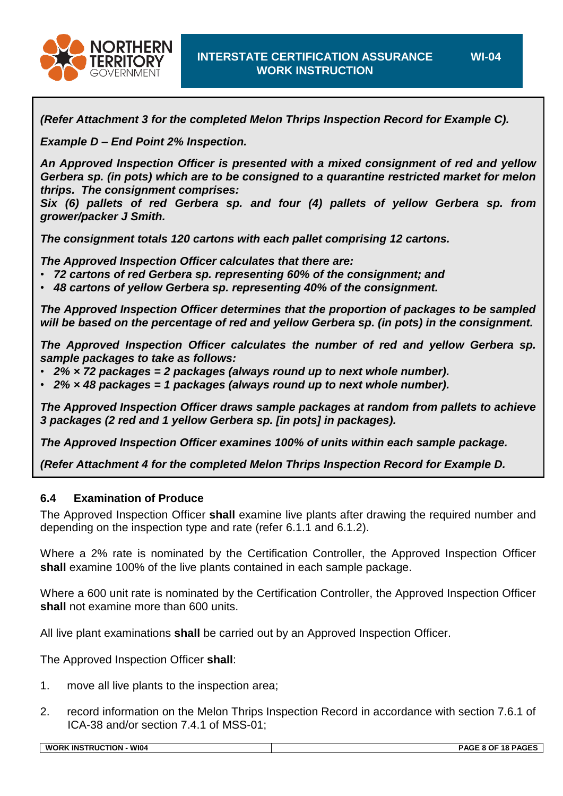

*(Refer [Attachment 3](#page-13-0) for the completed Melon Thrips Inspection Record for Example C).*

*Example D – End Point 2% Inspection.*

*An Approved Inspection Officer is presented with a mixed consignment of red and yellow Gerbera sp. (in pots) which are to be consigned to a quarantine restricted market for melon thrips. The consignment comprises:*

*Six (6) pallets of red Gerbera sp. and four (4) pallets of yellow Gerbera sp. from grower/packer J Smith.*

*The consignment totals 120 cartons with each pallet comprising 12 cartons.*

*The Approved Inspection Officer calculates that there are:*

- *72 cartons of red Gerbera sp. representing 60% of the consignment; and*
- *48 cartons of yellow Gerbera sp. representing 40% of the consignment.*

*The Approved Inspection Officer determines that the proportion of packages to be sampled will be based on the percentage of red and yellow Gerbera sp. (in pots) in the consignment.*

*The Approved Inspection Officer calculates the number of red and yellow Gerbera sp. sample packages to take as follows:*

- *2% × 72 packages = 2 packages (always round up to next whole number).*
- *2% × 48 packages = 1 packages (always round up to next whole number).*

*The Approved Inspection Officer draws sample packages at random from pallets to achieve 3 packages (2 red and 1 yellow Gerbera sp. [in pots] in packages).*

*The Approved Inspection Officer examines 100% of units within each sample package.*

*(Refer [Attachment 4](#page-11-0) for the completed Melon Thrips Inspection Record for Example D.*

#### <span id="page-7-0"></span>**6.4 Examination of Produce**

The Approved Inspection Officer **shall** examine live plants after drawing the required number and depending on the inspection type and rate (refer [6.1.1](#page-4-1) and [6.1.2\)](#page-4-0).

Where a 2% rate is nominated by the Certification Controller, the Approved Inspection Officer **shall** examine 100% of the live plants contained in each sample package.

Where a 600 unit rate is nominated by the Certification Controller, the Approved Inspection Officer **shall** not examine more than 600 units.

All live plant examinations **shall** be carried out by an Approved Inspection Officer.

The Approved Inspection Officer **shall**:

- 1. move all live plants to the inspection area;
- 2. record information on the Melon Thrips Inspection Record in accordance with section 7.6.1 of ICA-38 and/or section 7.4.1 of MSS-01;

**WI-04**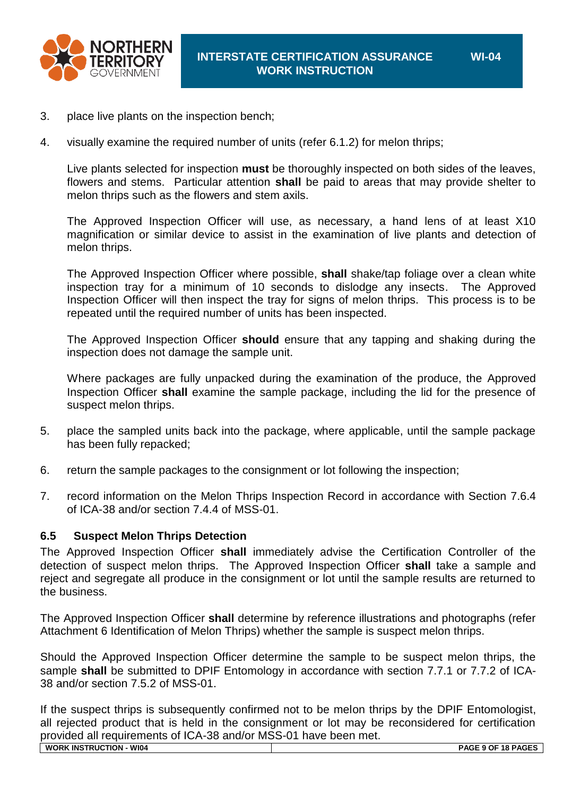

- 3. place live plants on the inspection bench;
- 4. visually examine the required number of units [\(refer 6.1.2\)](#page-4-0) for melon thrips;

Live plants selected for inspection **must** be thoroughly inspected on both sides of the leaves, flowers and stems. Particular attention **shall** be paid to areas that may provide shelter to melon thrips such as the flowers and stem axils.

The Approved Inspection Officer will use, as necessary, a hand lens of at least X10 magnification or similar device to assist in the examination of live plants and detection of melon thrips.

The Approved Inspection Officer where possible, **shall** shake/tap foliage over a clean white inspection tray for a minimum of 10 seconds to dislodge any insects. The Approved Inspection Officer will then inspect the tray for signs of melon thrips. This process is to be repeated until the required number of units has been inspected.

The Approved Inspection Officer **should** ensure that any tapping and shaking during the inspection does not damage the sample unit.

Where packages are fully unpacked during the examination of the produce, the Approved Inspection Officer **shall** examine the sample package, including the lid for the presence of suspect melon thrips.

- 5. place the sampled units back into the package, where applicable, until the sample package has been fully repacked;
- 6. return the sample packages to the consignment or lot following the inspection;
- 7. record information on the Melon Thrips Inspection Record in accordance with Section 7.6.4 of ICA-38 and/or section 7.4.4 of MSS-01.

#### **6.5 Suspect Melon Thrips Detection**

The Approved Inspection Officer **shall** immediately advise the Certification Controller of the detection of suspect melon thrips. The Approved Inspection Officer **shall** take a sample and reject and segregate all produce in the consignment or lot until the sample results are returned to the business.

The Approved Inspection Officer **shall** determine by reference illustrations and photographs (refer [Attachment 6](#page-16-0) Identification of Melon Thrips) whether the sample is suspect melon thrips.

Should the Approved Inspection Officer determine the sample to be suspect melon thrips, the sample **shall** be submitted to DPIF Entomology in accordance with section 7.7.1 or 7.7.2 of ICA-38 and/or section 7.5.2 of MSS-01.

If the suspect thrips is subsequently confirmed not to be melon thrips by the DPIF Entomologist, all rejected product that is held in the consignment or lot may be reconsidered for certification provided all requirements of ICA-38 and/or MSS-01 have been met.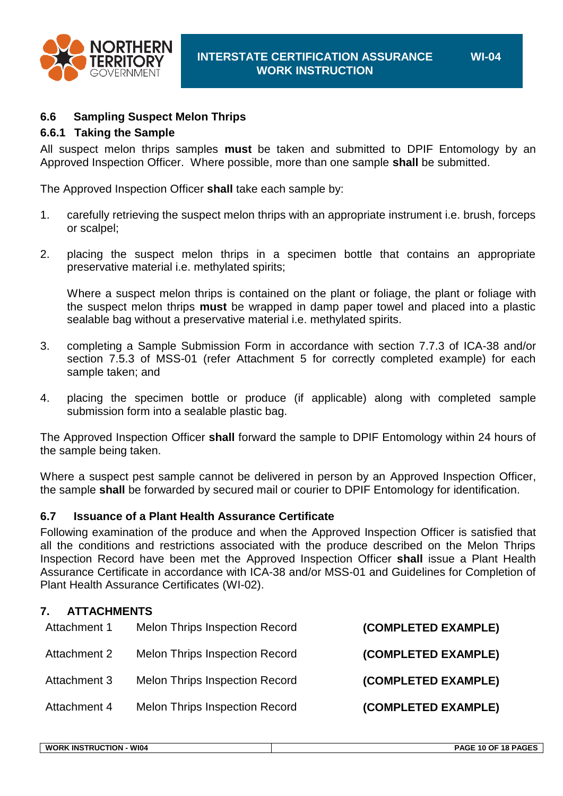

#### **6.6 Sampling Suspect Melon Thrips**

#### **6.6.1 Taking the Sample**

All suspect melon thrips samples **must** be taken and submitted to DPIF Entomology by an Approved Inspection Officer. Where possible, more than one sample **shall** be submitted.

The Approved Inspection Officer **shall** take each sample by:

- 1. carefully retrieving the suspect melon thrips with an appropriate instrument i.e. brush, forceps or scalpel;
- 2. placing the suspect melon thrips in a specimen bottle that contains an appropriate preservative material i.e. methylated spirits;

Where a suspect melon thrips is contained on the plant or foliage, the plant or foliage with the suspect melon thrips **must** be wrapped in damp paper towel and placed into a plastic sealable bag without a preservative material i.e. methylated spirits.

- 3. completing a Sample Submission Form in accordance with section 7.7.3 of ICA-38 and/or section 7.5.3 of MSS-01 (refer [Attachment 5](#page-15-0) for correctly completed example) for each sample taken; and
- 4. placing the specimen bottle or produce (if applicable) along with completed sample submission form into a sealable plastic bag.

The Approved Inspection Officer **shall** forward the sample to DPIF Entomology within 24 hours of the sample being taken.

Where a suspect pest sample cannot be delivered in person by an Approved Inspection Officer, the sample **shall** be forwarded by secured mail or courier to DPIF Entomology for identification.

#### **6.7 Issuance of a Plant Health Assurance Certificate**

Following examination of the produce and when the Approved Inspection Officer is satisfied that all the conditions and restrictions associated with the produce described on the Melon Thrips Inspection Record have been met the Approved Inspection Officer **shall** issue a Plant Health Assurance Certificate in accordance with ICA-38 and/or MSS-01 and Guidelines for Completion of Plant Health Assurance Certificates (WI-02).

#### **7. ATTACHMENTS**

| (COMPLETED EXAMPLE) | <b>Melon Thrips Inspection Record</b> | Attachment 1 |
|---------------------|---------------------------------------|--------------|
| (COMPLETED EXAMPLE) | <b>Melon Thrips Inspection Record</b> | Attachment 2 |
| (COMPLETED EXAMPLE) | <b>Melon Thrips Inspection Record</b> | Attachment 3 |
| (COMPLETED EXAMPLE) | <b>Melon Thrips Inspection Record</b> | Attachment 4 |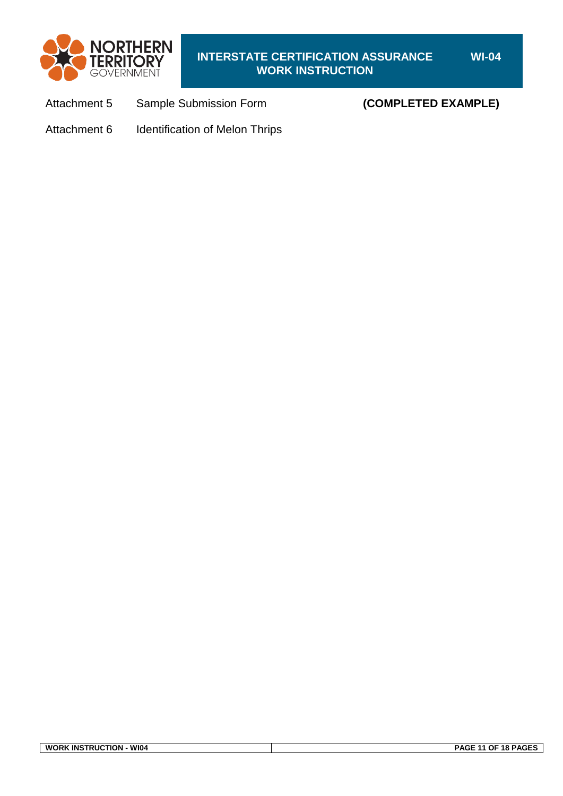

## **INTERSTATE CERTIFICATION ASSURANCE WORK INSTRUCTION**

[Attachment 5](#page-15-0) Sample Submission Form **(COMPLETED EXAMPLE)**

[Attachment 6](#page-16-0) Identification of Melon Thrips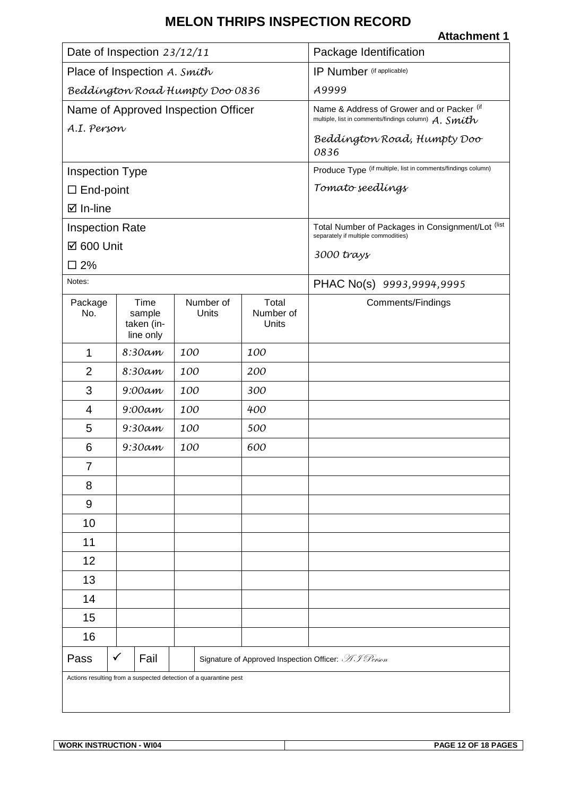<span id="page-11-0"></span>

| Date of Inspection 23/12/11                                       |                                           |                    | Package Identification                                                                                 |                                                                                          |
|-------------------------------------------------------------------|-------------------------------------------|--------------------|--------------------------------------------------------------------------------------------------------|------------------------------------------------------------------------------------------|
| Place of Inspection A. Smith                                      |                                           |                    | IP Number (if applicable)                                                                              |                                                                                          |
| Beddington Road Humpty Doo 0836                                   |                                           |                    | A9999                                                                                                  |                                                                                          |
| Name of Approved Inspection Officer                               |                                           |                    | Name & Address of Grower and or Packer (if<br>multiple, list in comments/findings column) $A.$ $Smith$ |                                                                                          |
| A.I. Person                                                       |                                           |                    |                                                                                                        | Beddington Road, Humpty Doo<br>0836                                                      |
| <b>Inspection Type</b>                                            |                                           |                    |                                                                                                        | Produce Type (if multiple, list in comments/findings column)                             |
| $\square$ End-point                                               |                                           |                    |                                                                                                        | Tomato seedlings                                                                         |
| ⊠ In-line                                                         |                                           |                    |                                                                                                        |                                                                                          |
| <b>Inspection Rate</b>                                            |                                           |                    |                                                                                                        | Total Number of Packages in Consignment/Lot (list<br>separately if multiple commodities) |
| ☑ 600 Unit                                                        |                                           |                    |                                                                                                        | 3000 trays                                                                               |
| $\square$ 2%                                                      |                                           |                    |                                                                                                        |                                                                                          |
| Notes:                                                            |                                           |                    |                                                                                                        | PHAC No(s) 9993,9994,9995                                                                |
| Package<br>No.                                                    | Time<br>sample<br>taken (in-<br>line only | Number of<br>Units | Total<br>Number of<br>Units                                                                            | Comments/Findings                                                                        |
| $\mathbf 1$                                                       | 8:30am                                    | 100                | 100                                                                                                    |                                                                                          |
| $\overline{2}$                                                    | 8:30am                                    | 100                | 200                                                                                                    |                                                                                          |
| 3                                                                 | $9:00$ am                                 | 100                | 300                                                                                                    |                                                                                          |
| 4                                                                 | $9:00$ am                                 | 100                | 400                                                                                                    |                                                                                          |
| 5                                                                 | $9:30$ am                                 | 100                | 500                                                                                                    |                                                                                          |
| 6                                                                 | $9:30$ am                                 | 100                | 600                                                                                                    |                                                                                          |
| 7                                                                 |                                           |                    |                                                                                                        |                                                                                          |
| 8                                                                 |                                           |                    |                                                                                                        |                                                                                          |
| 9                                                                 |                                           |                    |                                                                                                        |                                                                                          |
| 10                                                                |                                           |                    |                                                                                                        |                                                                                          |
| 11                                                                |                                           |                    |                                                                                                        |                                                                                          |
| 12                                                                |                                           |                    |                                                                                                        |                                                                                          |
| 13                                                                |                                           |                    |                                                                                                        |                                                                                          |
| 14                                                                |                                           |                    |                                                                                                        |                                                                                          |
| 15                                                                |                                           |                    |                                                                                                        |                                                                                          |
| 16                                                                |                                           |                    |                                                                                                        |                                                                                          |
| Pass                                                              | $\checkmark$<br>Fail                      |                    |                                                                                                        | Signature of Approved Inspection Officer: AJ Person                                      |
| Actions resulting from a suspected detection of a quarantine pest |                                           |                    |                                                                                                        |                                                                                          |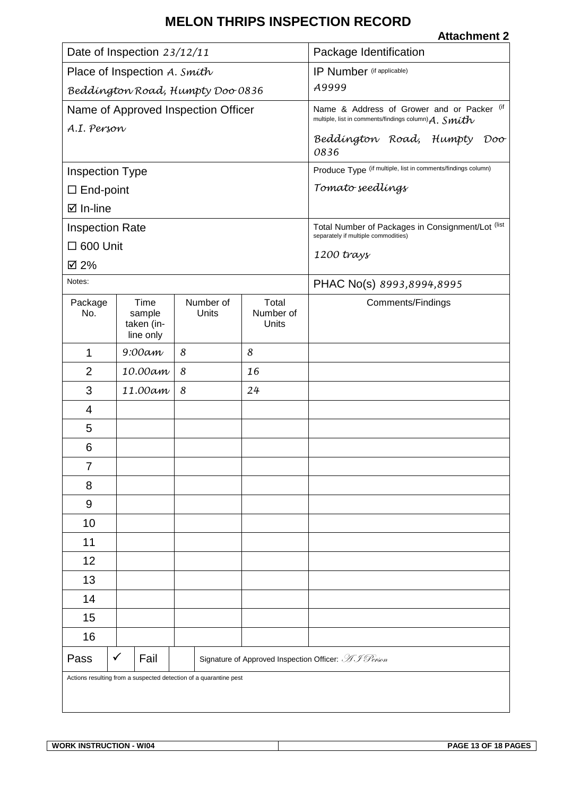<span id="page-12-0"></span>

| Date of Inspection 23/12/11      |                                     |                                                                   | Package Identification    |                                                                                                        |  |
|----------------------------------|-------------------------------------|-------------------------------------------------------------------|---------------------------|--------------------------------------------------------------------------------------------------------|--|
| Place of Inspection A. Smith     |                                     |                                                                   | IP Number (if applicable) |                                                                                                        |  |
| Beddington Road, Humpty Doo 0836 |                                     |                                                                   | A9999                     |                                                                                                        |  |
|                                  | Name of Approved Inspection Officer |                                                                   |                           | Name & Address of Grower and or Packer (if<br>multiple, list in comments/findings column) $A.$ $Smith$ |  |
| A.I. Person                      |                                     |                                                                   |                           | Beddington Road, Humpty<br>Doo                                                                         |  |
|                                  |                                     |                                                                   |                           | 0836                                                                                                   |  |
| <b>Inspection Type</b>           |                                     |                                                                   |                           | Produce Type (if multiple, list in comments/findings column)                                           |  |
| $\Box$ End-point                 |                                     |                                                                   |                           | Tomato seedlings                                                                                       |  |
| $\boxtimes$ In-line              |                                     |                                                                   |                           |                                                                                                        |  |
| <b>Inspection Rate</b>           |                                     |                                                                   |                           | Total Number of Packages in Consignment/Lot (list<br>separately if multiple commodities)               |  |
| $\Box$ 600 Unit                  |                                     |                                                                   |                           | $1200$ trays                                                                                           |  |
| ☑ 2%                             |                                     |                                                                   |                           |                                                                                                        |  |
| Notes:                           |                                     |                                                                   |                           | PHAC No(s) 8993,8994,8995                                                                              |  |
| Package<br>No.                   | Time<br>sample                      | Number of<br>Units                                                | Total<br>Number of        | Comments/Findings                                                                                      |  |
|                                  | taken (in-<br>line only             |                                                                   | Units                     |                                                                                                        |  |
| $\mathbf 1$                      | $9:00$ am                           | 8                                                                 | 8                         |                                                                                                        |  |
| $\overline{2}$                   | 10.00am                             | 8                                                                 | 16                        |                                                                                                        |  |
| 3                                | 11.00am                             | 8                                                                 | 24                        |                                                                                                        |  |
| 4                                |                                     |                                                                   |                           |                                                                                                        |  |
| 5                                |                                     |                                                                   |                           |                                                                                                        |  |
| 6                                |                                     |                                                                   |                           |                                                                                                        |  |
| 7                                |                                     |                                                                   |                           |                                                                                                        |  |
| 8                                |                                     |                                                                   |                           |                                                                                                        |  |
| 9                                |                                     |                                                                   |                           |                                                                                                        |  |
| 10                               |                                     |                                                                   |                           |                                                                                                        |  |
| 11                               |                                     |                                                                   |                           |                                                                                                        |  |
| 12                               |                                     |                                                                   |                           |                                                                                                        |  |
| 13                               |                                     |                                                                   |                           |                                                                                                        |  |
| 14                               |                                     |                                                                   |                           |                                                                                                        |  |
| 15                               |                                     |                                                                   |                           |                                                                                                        |  |
| 16                               |                                     |                                                                   |                           |                                                                                                        |  |
| Pass                             | ✓<br>Fail                           |                                                                   |                           | Signature of Approved Inspection Officer: AJ Person                                                    |  |
|                                  |                                     | Actions resulting from a suspected detection of a quarantine pest |                           |                                                                                                        |  |
|                                  |                                     |                                                                   |                           |                                                                                                        |  |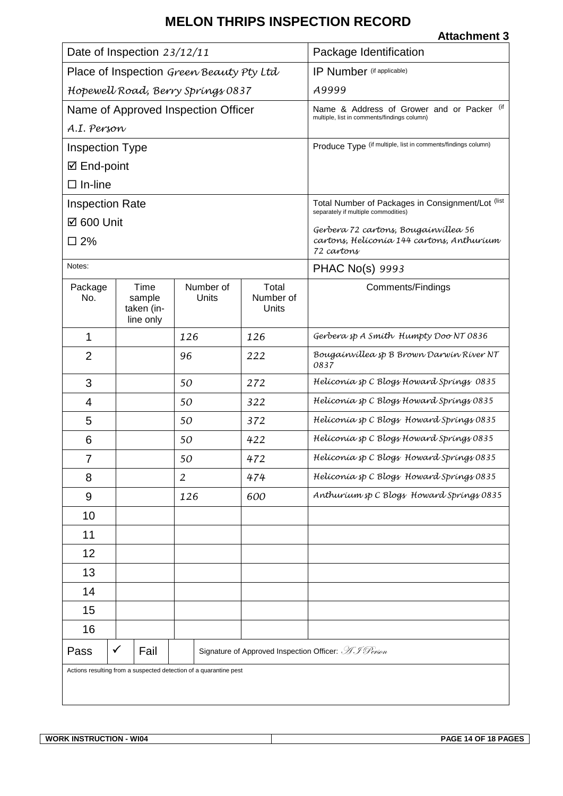<span id="page-13-0"></span>

| Date of Inspection 23/12/11                                       |                                           |  |                                     | Package Identification      |                                                                                              |
|-------------------------------------------------------------------|-------------------------------------------|--|-------------------------------------|-----------------------------|----------------------------------------------------------------------------------------------|
| Place of Inspection Green Beauty Pty Ltd                          |                                           |  |                                     | IP Number (if applicable)   |                                                                                              |
| Hopewell Road, Berry Springs 0837                                 |                                           |  |                                     | A9999                       |                                                                                              |
|                                                                   |                                           |  | Name of Approved Inspection Officer |                             | (if<br>Name & Address of Grower and or Packer<br>multiple, list in comments/findings column) |
| A.I. Person                                                       |                                           |  |                                     |                             |                                                                                              |
| <b>Inspection Type</b>                                            |                                           |  |                                     |                             | Produce Type (if multiple, list in comments/findings column)                                 |
| ☑ End-point                                                       |                                           |  |                                     |                             |                                                                                              |
| $\Box$ In-line                                                    |                                           |  |                                     |                             |                                                                                              |
| <b>Inspection Rate</b>                                            |                                           |  |                                     |                             | Total Number of Packages in Consignment/Lot (list<br>separately if multiple commodities)     |
| ☑ 600 Unit                                                        |                                           |  |                                     |                             | Gerbera 72 cartons, Bougainvillea 56                                                         |
| $\square$ 2%                                                      |                                           |  |                                     |                             | cartons, Helíconía 144 cartons, Anthuríum<br>72 cartons                                      |
| Notes:                                                            |                                           |  |                                     |                             | PHAC No(s) 9993                                                                              |
| Package<br>No.                                                    | Time<br>sample<br>taken (in-<br>line only |  | Number of<br>Units                  | Total<br>Number of<br>Units | Comments/Findings                                                                            |
| 1                                                                 |                                           |  | 126                                 | 126                         | Gerbera sp A Smith Humpty Doo NT 0836                                                        |
| $\overline{2}$                                                    |                                           |  | 96                                  | 222                         | Bougainvillea sp B Brown Darwin River NT<br>0837                                             |
| 3                                                                 |                                           |  | 50                                  | 272                         | Helíconía sp C Blogs Howard Springs 0835                                                     |
| 4                                                                 |                                           |  | 50                                  | 322                         | Helíconía sp C Blogs Howard Springs 0835                                                     |
| 5                                                                 |                                           |  | 50                                  | 372                         | Helíconía sp C Blogs Howard Springs 0835                                                     |
| 6                                                                 |                                           |  | 50                                  | 422                         | Helíconía sp C Blogs Howard Spríngs 0835                                                     |
| 7                                                                 |                                           |  | 50                                  | 472                         | Helíconía sp C Blogs Howard Spríngs 0835                                                     |
| 8                                                                 |                                           |  | $\overline{2}$                      | 474                         | Helíconía sp C Blogs Howard Springs 0835                                                     |
| 9                                                                 |                                           |  | 126                                 | 600                         | Anthurium sp C Blogs Howard Springs 0835                                                     |
| 10                                                                |                                           |  |                                     |                             |                                                                                              |
| 11                                                                |                                           |  |                                     |                             |                                                                                              |
| 12                                                                |                                           |  |                                     |                             |                                                                                              |
| 13                                                                |                                           |  |                                     |                             |                                                                                              |
| 14                                                                |                                           |  |                                     |                             |                                                                                              |
| 15                                                                |                                           |  |                                     |                             |                                                                                              |
| 16                                                                |                                           |  |                                     |                             |                                                                                              |
| Pass                                                              | Fail<br>✓                                 |  |                                     |                             | Signature of Approved Inspection Officer: AJ Person                                          |
| Actions resulting from a suspected detection of a quarantine pest |                                           |  |                                     |                             |                                                                                              |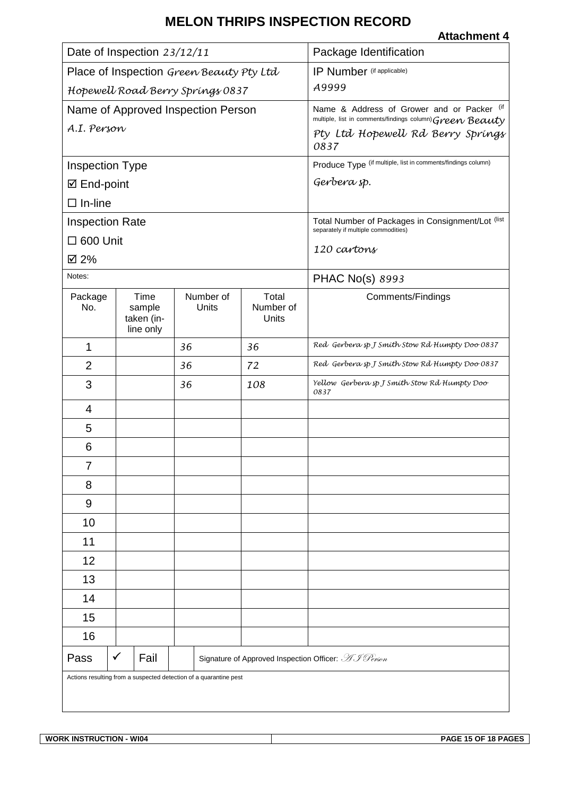#### **Attachment 4**

| Date of Inspection 23/12/11                                       |                                           |                    | Package Identification                                                                                 |                                                                                          |
|-------------------------------------------------------------------|-------------------------------------------|--------------------|--------------------------------------------------------------------------------------------------------|------------------------------------------------------------------------------------------|
| Place of Inspection Green Beauty Pty Ltd                          |                                           |                    | IP Number (if applicable)                                                                              |                                                                                          |
| Hopewell Road Berry Springs 0837                                  |                                           |                    | A9999                                                                                                  |                                                                                          |
| Name of Approved Inspection Person                                |                                           |                    | Name & Address of Grower and or Packer (if<br>multiple, list in comments/findings column) Green Beauty |                                                                                          |
| A.I. Person                                                       |                                           |                    |                                                                                                        | Pty Ltd Hopewell Rd Berry Springs<br>0837                                                |
| <b>Inspection Type</b>                                            |                                           |                    |                                                                                                        | Produce Type (if multiple, list in comments/findings column)                             |
| ☑ End-point                                                       |                                           |                    |                                                                                                        | Gerbera sp.                                                                              |
| $\Box$ In-line                                                    |                                           |                    |                                                                                                        |                                                                                          |
| <b>Inspection Rate</b>                                            |                                           |                    |                                                                                                        | Total Number of Packages in Consignment/Lot (list<br>separately if multiple commodities) |
| $\Box$ 600 Unit                                                   |                                           |                    |                                                                                                        |                                                                                          |
| ☑ 2%                                                              |                                           |                    |                                                                                                        | 120 cartons                                                                              |
| Notes:                                                            |                                           |                    |                                                                                                        | PHAC No(s) 8993                                                                          |
| Package<br>No.                                                    | Time<br>sample<br>taken (in-<br>line only | Number of<br>Units | Total<br>Number of<br>Units                                                                            | Comments/Findings                                                                        |
| 1                                                                 |                                           | 36                 | 36                                                                                                     | Red Gerbera sp J Smíth Stow Rd Humpty Doo 0837                                           |
| $\overline{2}$                                                    |                                           | 36                 | 72                                                                                                     | Red Gerbera sp J Smith Stow Rd Humpty Doo 0837                                           |
| 3                                                                 |                                           | 36                 | 108                                                                                                    | Yellow Gerbera sp J Smith Stow Rd Humpty Doo<br>0837                                     |
| 4                                                                 |                                           |                    |                                                                                                        |                                                                                          |
| 5                                                                 |                                           |                    |                                                                                                        |                                                                                          |
| 6                                                                 |                                           |                    |                                                                                                        |                                                                                          |
| ſ                                                                 |                                           |                    |                                                                                                        |                                                                                          |
| 8                                                                 |                                           |                    |                                                                                                        |                                                                                          |
| 9                                                                 |                                           |                    |                                                                                                        |                                                                                          |
| 10                                                                |                                           |                    |                                                                                                        |                                                                                          |
| 11                                                                |                                           |                    |                                                                                                        |                                                                                          |
| 12                                                                |                                           |                    |                                                                                                        |                                                                                          |
| 13                                                                |                                           |                    |                                                                                                        |                                                                                          |
| 14                                                                |                                           |                    |                                                                                                        |                                                                                          |
| 15                                                                |                                           |                    |                                                                                                        |                                                                                          |
| 16                                                                |                                           |                    |                                                                                                        |                                                                                          |
| Pass                                                              | $\checkmark$<br>Fail                      |                    |                                                                                                        | Signature of Approved Inspection Officer: AJ Person                                      |
| Actions resulting from a suspected detection of a quarantine pest |                                           |                    |                                                                                                        |                                                                                          |

**WORK INSTRUCTION - WI04 PAGE 15 OF 18 PAGES**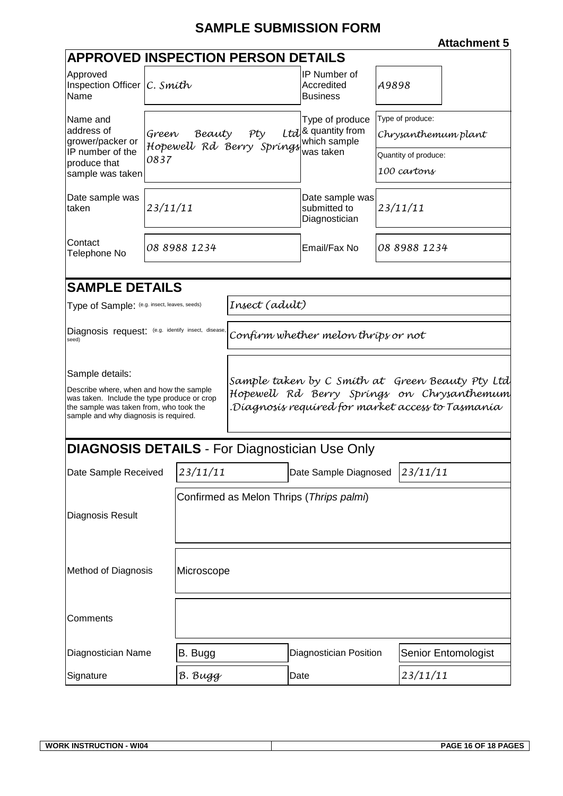# **SAMPLE SUBMISSION FORM**

<span id="page-15-0"></span>

| <b>APPROVED INSPECTION PERSON DETAILS</b>                                                                                                                                                     |          |                                          |                                                                                                                                                    |                                                       |                      |  |  |
|-----------------------------------------------------------------------------------------------------------------------------------------------------------------------------------------------|----------|------------------------------------------|----------------------------------------------------------------------------------------------------------------------------------------------------|-------------------------------------------------------|----------------------|--|--|
| Approved<br>Inspection Officer $ C.$ Smith<br>Name                                                                                                                                            |          |                                          |                                                                                                                                                    | <b>IP Number of</b><br>Accredited<br><b>Business</b>  | A9898                |  |  |
| Name and                                                                                                                                                                                      |          |                                          |                                                                                                                                                    | Type of produce                                       | Type of produce:     |  |  |
| address of<br>grower/packer or                                                                                                                                                                | Green    | Beauty                                   | Pty                                                                                                                                                | Ltd <sup>8</sup> quantity from<br>which sample        | Chrysanthemum plant  |  |  |
| IP number of the<br>produce that                                                                                                                                                              | 0837     |                                          | Hopewell Rd Berry Springs                                                                                                                          | was taken                                             | Quantity of produce: |  |  |
| sample was taken                                                                                                                                                                              |          |                                          |                                                                                                                                                    |                                                       | 100 cartons          |  |  |
| Date sample was<br>taken                                                                                                                                                                      | 23/11/11 |                                          |                                                                                                                                                    | Date sample was<br>submitted to<br>Diagnostician      | 23/11/11             |  |  |
| Contact<br>Telephone No                                                                                                                                                                       |          | 08 8988 1234                             |                                                                                                                                                    | Email/Fax No                                          | 08 8988 1234         |  |  |
|                                                                                                                                                                                               |          |                                          |                                                                                                                                                    |                                                       |                      |  |  |
| <b>SAMPLE DETAILS</b>                                                                                                                                                                         |          |                                          |                                                                                                                                                    |                                                       |                      |  |  |
| Type of Sample: (e.g. insect, leaves, seeds)                                                                                                                                                  |          |                                          | Insect (adult)                                                                                                                                     |                                                       |                      |  |  |
| Diagnosis request: (e.g. identify insect, disease,<br>seed)                                                                                                                                   |          |                                          |                                                                                                                                                    | Confirm whether melon thrips or not                   |                      |  |  |
| Sample details:<br>Describe where, when and how the sample<br>was taken. Include the type produce or crop<br>the sample was taken from, who took the<br>sample and why diagnosis is required. |          |                                          | Sample taken by C Smíth at Green Beauty Pty Ltd<br>Hopewell Rd Berry Springs on Chrysanthemum<br>Díagnosís requíred for market access to Tasmanía. |                                                       |                      |  |  |
|                                                                                                                                                                                               |          |                                          |                                                                                                                                                    | <b>DIAGNOSIS DETAILS - For Diagnostician Use Only</b> |                      |  |  |
| Date Sample Received                                                                                                                                                                          |          | 23/11/11                                 |                                                                                                                                                    | Date Sample Diagnosed 23/11/11                        |                      |  |  |
|                                                                                                                                                                                               |          | Confirmed as Melon Thrips (Thrips palmi) |                                                                                                                                                    |                                                       |                      |  |  |
| Diagnosis Result                                                                                                                                                                              |          |                                          |                                                                                                                                                    |                                                       |                      |  |  |
| <b>Method of Diagnosis</b>                                                                                                                                                                    |          | Microscope                               |                                                                                                                                                    |                                                       |                      |  |  |
| Comments                                                                                                                                                                                      |          |                                          |                                                                                                                                                    |                                                       |                      |  |  |
| Diagnostician Name                                                                                                                                                                            |          | B. Bugg                                  |                                                                                                                                                    | <b>Diagnostician Position</b>                         | Senior Entomologist  |  |  |
| Signature                                                                                                                                                                                     |          | B. Bugg                                  |                                                                                                                                                    | Date                                                  | 23/11/11             |  |  |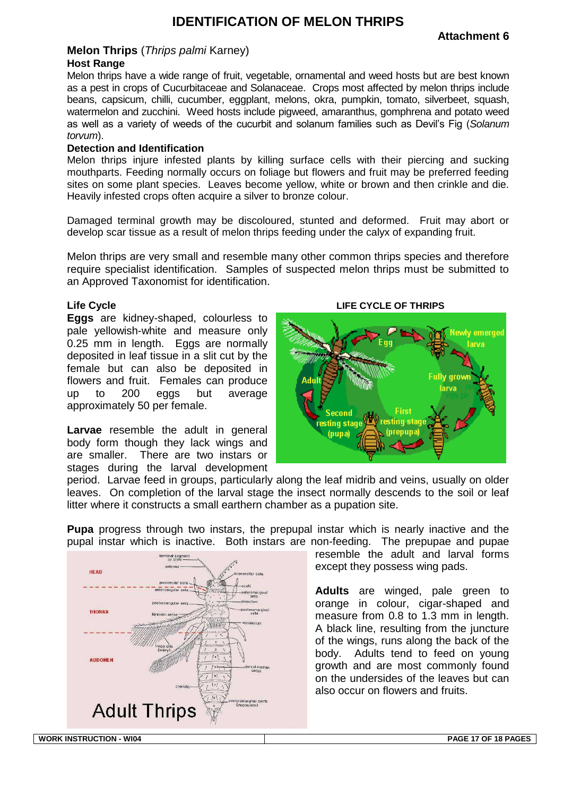## **IDENTIFICATION OF MELON THRIPS**

#### <span id="page-16-0"></span>**Melon Thrips** (*Thrips palmi* Karney) **Host Range**

Melon thrips have a wide range of fruit, vegetable, ornamental and weed hosts but are best known as a pest in crops of Cucurbitaceae and Solanaceae. Crops most affected by melon thrips include beans, capsicum, chilli, cucumber, eggplant, melons, okra, pumpkin, tomato, silverbeet, squash, watermelon and zucchini. Weed hosts include pigweed, amaranthus, gomphrena and potato weed as well as a variety of weeds of the cucurbit and solanum families such as Devil's Fig (*Solanum torvum*).

#### **Detection and Identification**

Melon thrips injure infested plants by killing surface cells with their piercing and sucking mouthparts. Feeding normally occurs on foliage but flowers and fruit may be preferred feeding sites on some plant species. Leaves become yellow, white or brown and then crinkle and die. Heavily infested crops often acquire a silver to bronze colour.

Damaged terminal growth may be discoloured, stunted and deformed. Fruit may abort or develop scar tissue as a result of melon thrips feeding under the calyx of expanding fruit.

Melon thrips are very small and resemble many other common thrips species and therefore require specialist identification. Samples of suspected melon thrips must be submitted to an Approved Taxonomist for identification.

#### **Life Cycle**

**Eggs** are kidney-shaped, colourless to pale yellowish-white and measure only 0.25 mm in length. Eggs are normally deposited in leaf tissue in a slit cut by the female but can also be deposited in flowers and fruit. Females can produce up to 200 eggs but average approximately 50 per female.

**Larvae** resemble the adult in general body form though they lack wings and are smaller. There are two instars or stages during the larval development



period. Larvae feed in groups, particularly along the leaf midrib and veins, usually on older leaves. On completion of the larval stage the insect normally descends to the soil or leaf litter where it constructs a small earthern chamber as a pupation site.

**Pupa** progress through two instars, the prepupal instar which is nearly inactive and the pupal instar which is inactive. Both instars are non-feeding. The prepupae and pupae



resemble the adult and larval forms except they possess wing pads.

**Adults** are winged, pale green to orange in colour, cigar-shaped and measure from 0.8 to 1.3 mm in length. A black line, resulting from the juncture of the wings, runs along the back of the body. Adults tend to feed on young growth and are most commonly found on the undersides of the leaves but can also occur on flowers and fruits.

**WORK INSTRUCTION - WI04 PAGE 17 OF 18 PAGES**